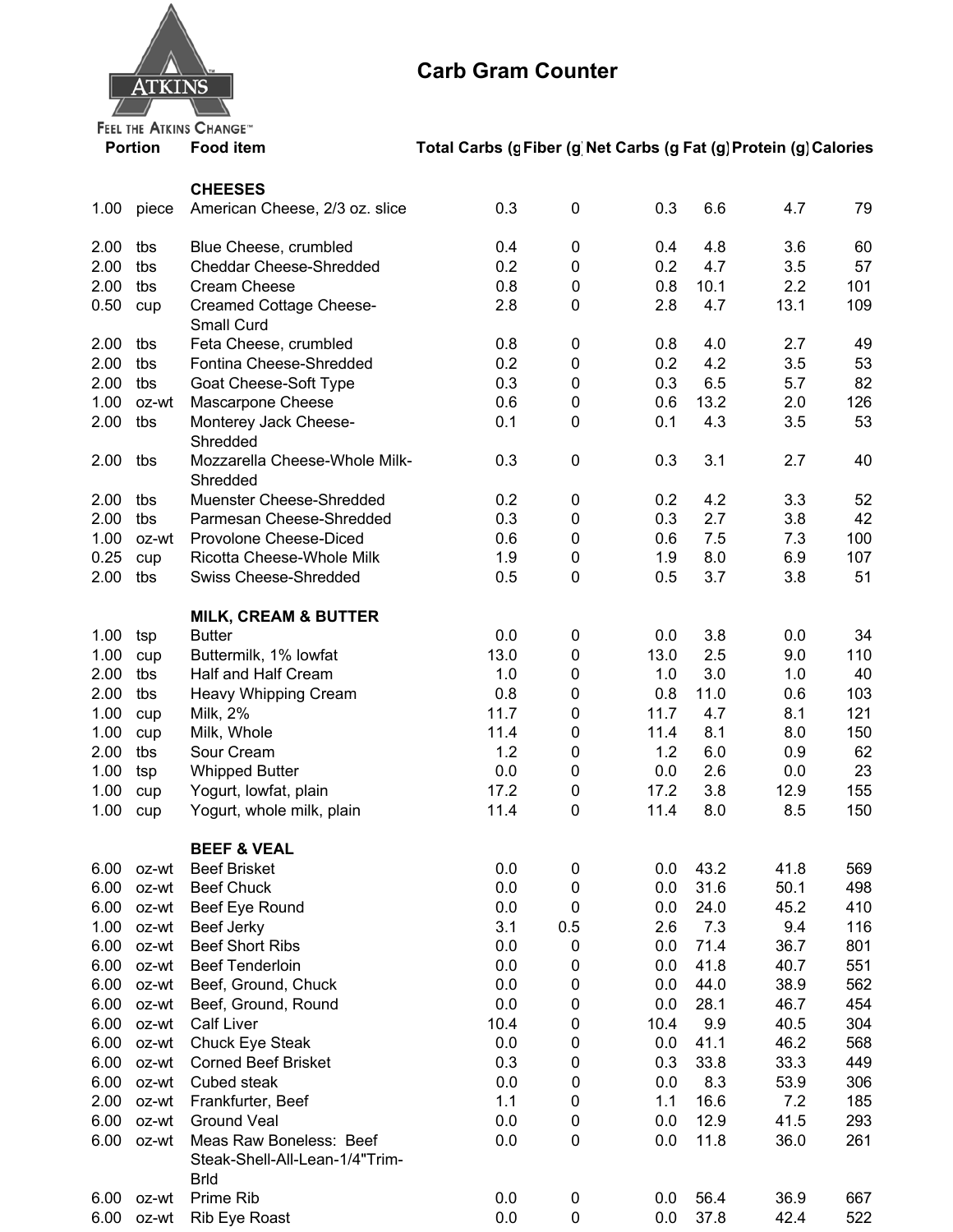

## **Carb Gram Counter**

## **Portion**

## Food item Total Carbs (g Fiber (g Net Carbs (g Fat (g) Protein (g) Calories

|              |                | <b>CHEESES</b>                                     |             |                |             |              |             |            |
|--------------|----------------|----------------------------------------------------|-------------|----------------|-------------|--------------|-------------|------------|
| 1.00         | piece          | American Cheese, 2/3 oz. slice                     | 0.3         | 0              | 0.3         | 6.6          | 4.7         | 79         |
| 2.00         | tbs            | Blue Cheese, crumbled                              | 0.4         | 0              | 0.4         | 4.8          | 3.6         | 60         |
| 2.00         | tbs            | <b>Cheddar Cheese-Shredded</b>                     | 0.2         | 0              | 0.2         | 4.7          | 3.5         | 57         |
| 2.00         | tbs            | <b>Cream Cheese</b>                                | 0.8         | 0              | 0.8         | 10.1         | 2.2         | 101        |
| 0.50         | cup            | <b>Creamed Cottage Cheese-</b><br>Small Curd       | 2.8         | 0              | 2.8         | 4.7          | 13.1        | 109        |
| 2.00         | tbs            | Feta Cheese, crumbled                              | 0.8         | 0              | 0.8         | 4.0          | 2.7         | 49         |
| 2.00         | tbs            | Fontina Cheese-Shredded                            | 0.2         | 0              | 0.2         | 4.2          | 3.5         | 53         |
| 2.00         | tbs            | Goat Cheese-Soft Type                              | 0.3         | 0              | 0.3         | 6.5          | 5.7         | 82         |
| 1.00         | oz-wt          | Mascarpone Cheese                                  | 0.6         | 0              | 0.6         | 13.2         | 2.0         | 126        |
| 2.00         | tbs            | Monterey Jack Cheese-<br>Shredded                  | 0.1         | $\pmb{0}$      | 0.1         | 4.3          | 3.5         | 53         |
| 2.00         | tbs            | Mozzarella Cheese-Whole Milk-<br>Shredded          | 0.3         | 0              | 0.3         | 3.1          | 2.7         | 40         |
| 2.00         | tbs            | Muenster Cheese-Shredded                           | 0.2         | 0              | 0.2         | 4.2          | 3.3         | 52         |
| 2.00         | tbs            | Parmesan Cheese-Shredded                           | 0.3         | 0              | 0.3         | 2.7          | 3.8         | 42         |
| 1.00         | oz-wt          | Provolone Cheese-Diced                             | 0.6         | 0              | 0.6         | 7.5          | 7.3         | 100        |
| 0.25         | cup            | Ricotta Cheese-Whole Milk                          | 1.9         | 0              | 1.9         | 8.0          | 6.9         | 107        |
| 2.00         | tbs            | <b>Swiss Cheese-Shredded</b>                       | 0.5         | $\pmb{0}$      | 0.5         | 3.7          | 3.8         | 51         |
|              |                | <b>MILK, CREAM &amp; BUTTER</b>                    |             |                |             |              |             |            |
| 1.00         | tsp            | <b>Butter</b>                                      | 0.0         | 0              | 0.0         | 3.8          | 0.0         | 34         |
| 1.00         | cup            | Buttermilk, 1% lowfat                              | 13.0        | 0              | 13.0        | 2.5          | 9.0         | 110        |
| 2.00         | tbs            | Half and Half Cream                                | 1.0         | 0              | 1.0         | 3.0          | 1.0         | 40         |
| 2.00         | tbs            | Heavy Whipping Cream                               | 0.8         | 0              | 0.8         | 11.0         | 0.6         | 103        |
| 1.00         | cup            | Milk, 2%                                           | 11.7        | 0              | 11.7        | 4.7          | 8.1         | 121        |
| 1.00         | cup            | Milk, Whole                                        | 11.4        | 0              | 11.4        | 8.1          | 8.0         | 150        |
| 2.00         | tbs            | Sour Cream                                         | 1.2         | 0              | 1.2         | 6.0          | 0.9         | 62         |
| 1.00<br>1.00 | tsp            | <b>Whipped Butter</b>                              | 0.0<br>17.2 | 0              | 0.0<br>17.2 | 2.6<br>3.8   | 0.0<br>12.9 | 23<br>155  |
| 1.00         | cup<br>cup     | Yogurt, lowfat, plain<br>Yogurt, whole milk, plain | 11.4        | 0<br>0         | 11.4        | 8.0          | 8.5         | 150        |
|              |                |                                                    |             |                |             |              |             |            |
|              |                | <b>BEEF &amp; VEAL</b>                             |             |                |             |              |             |            |
| 6.00         | oz-wt          | <b>Beef Brisket</b>                                | 0.0         | 0              | 0.0         | 43.2         | 41.8        | 569        |
| 6.00         | oz-wt          | <b>Beef Chuck</b>                                  | 0.0         | 0              | 0.0         | 31.6         | 50.1        | 498        |
| 6.00         | oz-wt          | Beef Eye Round                                     | 0.0         | $\pmb{0}$      | 0.0         | 24.0         | 45.2        | 410        |
| 1.00         | oz-wt          | Beef Jerky                                         | 3.1         | 0.5            | 2.6         | 7.3          | 9.4         | 116        |
| 6.00         | oz-wt          | <b>Beef Short Ribs</b>                             | 0.0         | 0              | 0.0         | 71.4         | 36.7        | 801        |
| 6.00         | oz-wt          | <b>Beef Tenderloin</b>                             | 0.0         | 0              | 0.0         | 41.8         | 40.7        | 551        |
| 6.00         | oz-wt          | Beef, Ground, Chuck                                | 0.0         | 0              | 0.0         | 44.0         | 38.9        | 562        |
| 6.00         | oz-wt          | Beef, Ground, Round                                | 0.0         | 0              | 0.0         | 28.1         | 46.7        | 454        |
| 6.00         | oz-wt          | <b>Calf Liver</b>                                  | 10.4        | 0              | 10.4        | 9.9          | 40.5        | 304        |
| 6.00         | oz-wt          | Chuck Eye Steak                                    | 0.0         | $\pmb{0}$      | 0.0         | 41.1         | 46.2        | 568        |
| 6.00         | oz-wt          | <b>Corned Beef Brisket</b>                         | 0.3         | $\pmb{0}$      | 0.3         | 33.8         | 33.3        | 449        |
| 6.00         | oz-wt          | Cubed steak                                        | 0.0<br>1.1  | 0              | 0.0         | 8.3          | 53.9        | 306        |
| 2.00<br>6.00 | oz-wt<br>oz-wt | Frankfurter, Beef<br><b>Ground Veal</b>            | 0.0         | 0              | 1.1<br>0.0  | 16.6<br>12.9 | 7.2<br>41.5 | 185<br>293 |
| 6.00         | oz-wt          | Meas Raw Boneless: Beef                            | 0.0         | 0<br>$\pmb{0}$ | 0.0         | 11.8         | 36.0        | 261        |
|              |                | Steak-Shell-All-Lean-1/4"Trim-<br><b>Brld</b>      |             |                |             |              |             |            |
| 6.00         | oz-wt          | Prime Rib                                          | 0.0         | 0              | 0.0         | 56.4         | 36.9        | 667        |
| 6.00         | oz-wt          | Rib Eye Roast                                      | 0.0         | 0              | 0.0         | 37.8         | 42.4        | 522        |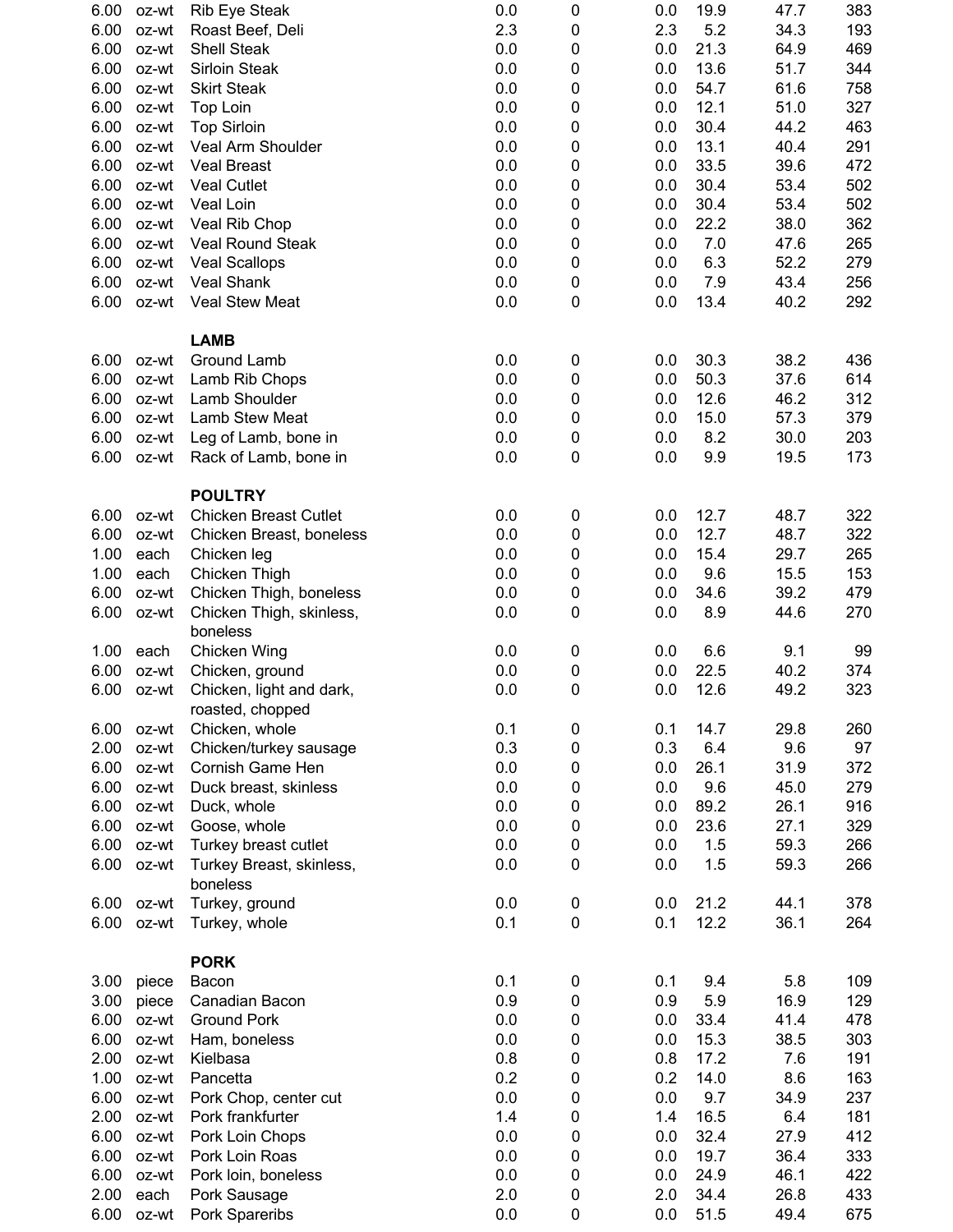| 6.00 | oz-wt | Rib Eye Steak                        | 0.0 | 0      | 0.0 | 19.9 | 47.7 | 383 |
|------|-------|--------------------------------------|-----|--------|-----|------|------|-----|
| 6.00 | oz-wt | Roast Beef, Deli                     | 2.3 | 0      | 2.3 | 5.2  | 34.3 | 193 |
| 6.00 | oz-wt | <b>Shell Steak</b>                   | 0.0 | 0      | 0.0 | 21.3 | 64.9 | 469 |
| 6.00 | oz-wt | Sirloin Steak                        | 0.0 | 0      | 0.0 | 13.6 | 51.7 | 344 |
| 6.00 | oz-wt | <b>Skirt Steak</b>                   | 0.0 | 0      | 0.0 | 54.7 | 61.6 | 758 |
| 6.00 | oz-wt | Top Loin                             | 0.0 | 0      | 0.0 | 12.1 | 51.0 | 327 |
| 6.00 | oz-wt | <b>Top Sirloin</b>                   | 0.0 | 0      | 0.0 | 30.4 | 44.2 | 463 |
| 6.00 | oz-wt | Veal Arm Shoulder                    | 0.0 | 0      | 0.0 | 13.1 | 40.4 | 291 |
| 6.00 | oz-wt | <b>Veal Breast</b>                   | 0.0 | 0      | 0.0 | 33.5 | 39.6 | 472 |
| 6.00 | oz-wt | <b>Veal Cutlet</b>                   | 0.0 | 0      | 0.0 | 30.4 | 53.4 | 502 |
| 6.00 | oz-wt | Veal Loin                            | 0.0 | 0      | 0.0 | 30.4 | 53.4 | 502 |
| 6.00 | oz-wt | Veal Rib Chop                        | 0.0 | 0      | 0.0 | 22.2 | 38.0 | 362 |
| 6.00 | oz-wt | <b>Veal Round Steak</b>              | 0.0 | 0      | 0.0 | 7.0  | 47.6 | 265 |
| 6.00 | oz-wt | <b>Veal Scallops</b>                 | 0.0 | 0      | 0.0 | 6.3  | 52.2 | 279 |
| 6.00 | oz-wt | Veal Shank                           | 0.0 | 0      | 0.0 | 7.9  | 43.4 | 256 |
| 6.00 | oz-wt | <b>Veal Stew Meat</b>                | 0.0 | 0      | 0.0 | 13.4 | 40.2 | 292 |
|      |       |                                      |     |        |     |      |      |     |
|      |       | <b>LAMB</b>                          |     |        |     |      |      |     |
| 6.00 | oz-wt | <b>Ground Lamb</b>                   | 0.0 | 0      | 0.0 | 30.3 | 38.2 | 436 |
| 6.00 | oz-wt | Lamb Rib Chops                       | 0.0 | 0      | 0.0 | 50.3 | 37.6 | 614 |
| 6.00 | oz-wt | Lamb Shoulder                        | 0.0 | 0      | 0.0 | 12.6 | 46.2 | 312 |
| 6.00 | oz-wt | Lamb Stew Meat                       | 0.0 | 0      | 0.0 | 15.0 | 57.3 | 379 |
| 6.00 | oz-wt | Leg of Lamb, bone in                 | 0.0 | 0      | 0.0 | 8.2  | 30.0 | 203 |
| 6.00 | oz-wt | Rack of Lamb, bone in                | 0.0 | 0      | 0.0 | 9.9  | 19.5 | 173 |
|      |       |                                      |     |        |     |      |      |     |
|      |       | <b>POULTRY</b>                       |     |        |     |      |      |     |
| 6.00 | oz-wt | <b>Chicken Breast Cutlet</b>         | 0.0 | 0      | 0.0 | 12.7 | 48.7 | 322 |
| 6.00 | oz-wt | Chicken Breast, boneless             | 0.0 | 0      | 0.0 | 12.7 | 48.7 | 322 |
| 1.00 | each  | Chicken leg                          | 0.0 | 0      | 0.0 | 15.4 | 29.7 | 265 |
| 1.00 | each  | Chicken Thigh                        | 0.0 | 0      | 0.0 | 9.6  | 15.5 | 153 |
| 6.00 | oz-wt |                                      | 0.0 | 0      | 0.0 | 34.6 | 39.2 | 479 |
| 6.00 |       | Chicken Thigh, boneless              | 0.0 | 0      |     | 8.9  | 44.6 | 270 |
|      | oz-wt | Chicken Thigh, skinless,<br>boneless |     |        | 0.0 |      |      |     |
| 1.00 | each  | <b>Chicken Wing</b>                  | 0.0 | 0      | 0.0 | 6.6  | 9.1  | 99  |
| 6.00 | oz-wt |                                      | 0.0 |        | 0.0 | 22.5 | 40.2 | 374 |
| 6.00 |       | Chicken, ground                      | 0.0 | 0<br>0 | 0.0 | 12.6 | 49.2 | 323 |
|      | oz-wt | Chicken, light and dark,             |     |        |     |      |      |     |
|      |       | roasted, chopped                     | 0.1 |        | 0.1 |      |      |     |
| 6.00 | oz-wt | Chicken, whole                       |     | 0      |     | 14.7 | 29.8 | 260 |
| 2.00 | oz-wt | Chicken/turkey sausage               | 0.3 | 0      | 0.3 | 6.4  | 9.6  | 97  |
| 6.00 | oz-wt | Cornish Game Hen                     | 0.0 | 0      | 0.0 | 26.1 | 31.9 | 372 |
| 6.00 | oz-wt | Duck breast, skinless                | 0.0 | 0      | 0.0 | 9.6  | 45.0 | 279 |
| 6.00 | oz-wt | Duck, whole                          | 0.0 | 0      | 0.0 | 89.2 | 26.1 | 916 |
| 6.00 | oz-wt | Goose, whole                         | 0.0 | 0      | 0.0 | 23.6 | 27.1 | 329 |
| 6.00 | oz-wt | Turkey breast cutlet                 | 0.0 | 0      | 0.0 | 1.5  | 59.3 | 266 |
| 6.00 | oz-wt | Turkey Breast, skinless,             | 0.0 | 0      | 0.0 | 1.5  | 59.3 | 266 |
|      |       | boneless                             |     |        |     |      |      |     |
| 6.00 | oz-wt | Turkey, ground                       | 0.0 | 0      | 0.0 | 21.2 | 44.1 | 378 |
| 6.00 | oz-wt | Turkey, whole                        | 0.1 | 0      | 0.1 | 12.2 | 36.1 | 264 |
|      |       | <b>PORK</b>                          |     |        |     |      |      |     |
|      |       |                                      | 0.1 |        |     |      |      |     |
| 3.00 | piece | Bacon                                |     | 0      | 0.1 | 9.4  | 5.8  | 109 |
| 3.00 | piece | Canadian Bacon                       | 0.9 | 0      | 0.9 | 5.9  | 16.9 | 129 |
| 6.00 | oz-wt | <b>Ground Pork</b>                   | 0.0 | 0      | 0.0 | 33.4 | 41.4 | 478 |
| 6.00 | oz-wt | Ham, boneless                        | 0.0 | 0      | 0.0 | 15.3 | 38.5 | 303 |
| 2.00 | oz-wt | Kielbasa                             | 0.8 | 0      | 0.8 | 17.2 | 7.6  | 191 |
| 1.00 | oz-wt | Pancetta                             | 0.2 | 0      | 0.2 | 14.0 | 8.6  | 163 |
| 6.00 | oz-wt | Pork Chop, center cut                | 0.0 | 0      | 0.0 | 9.7  | 34.9 | 237 |
| 2.00 | oz-wt | Pork frankfurter                     | 1.4 | 0      | 1.4 | 16.5 | 6.4  | 181 |
| 6.00 | oz-wt | Pork Loin Chops                      | 0.0 | 0      | 0.0 | 32.4 | 27.9 | 412 |
| 6.00 | oz-wt | Pork Loin Roas                       | 0.0 | 0      | 0.0 | 19.7 | 36.4 | 333 |
| 6.00 | oz-wt | Pork loin, boneless                  | 0.0 | 0      | 0.0 | 24.9 | 46.1 | 422 |
| 2.00 | each  | Pork Sausage                         | 2.0 | 0      | 2.0 | 34.4 | 26.8 | 433 |
| 6.00 | oz-wt | Pork Spareribs                       | 0.0 | 0      | 0.0 | 51.5 | 49.4 | 675 |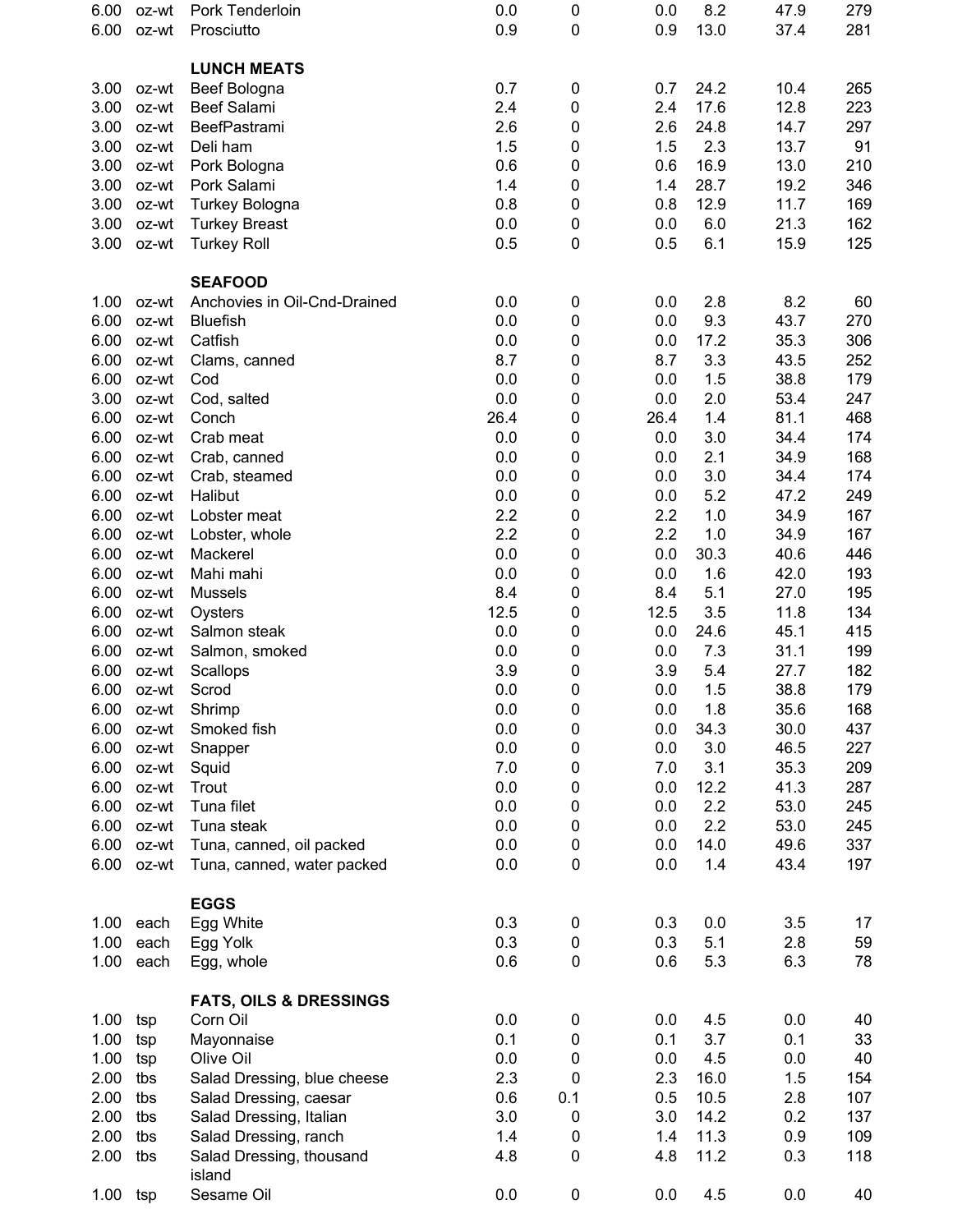| 6.00         | oz-wt          | Pork Tenderloin                                        | 0.0        | 0              | 0.0        | 8.2         | 47.9         | 279        |
|--------------|----------------|--------------------------------------------------------|------------|----------------|------------|-------------|--------------|------------|
| 6.00         | oz-wt          | Prosciutto                                             | 0.9        | 0              | 0.9        | 13.0        | 37.4         | 281        |
|              |                | <b>LUNCH MEATS</b>                                     |            |                |            |             |              |            |
| 3.00         | oz-wt          | Beef Bologna                                           | 0.7        | 0              | 0.7        | 24.2        | 10.4         | 265        |
| 3.00         | oz-wt          | <b>Beef Salami</b>                                     | 2.4        | 0              | 2.4        | 17.6        | 12.8         | 223        |
| 3.00         | oz-wt          | BeefPastrami                                           | 2.6        | 0              | 2.6        | 24.8        | 14.7         | 297        |
| 3.00         | oz-wt          | Deli ham                                               | 1.5        | 0              | 1.5        | 2.3         | 13.7         | 91         |
| 3.00         | oz-wt          | Pork Bologna                                           | 0.6        | 0              | 0.6        | 16.9        | 13.0         | 210        |
| 3.00         | oz-wt          | Pork Salami                                            | 1.4        | 0              | 1.4        | 28.7        | 19.2         | 346        |
| 3.00         | oz-wt          | Turkey Bologna                                         | 0.8        | 0              | 0.8        | 12.9        | 11.7         | 169        |
| 3.00         | oz-wt          | <b>Turkey Breast</b>                                   | 0.0        | 0              | 0.0        | 6.0         | 21.3         | 162        |
| 3.00         | oz-wt          | <b>Turkey Roll</b>                                     | 0.5        | 0              | 0.5        | 6.1         | 15.9         | 125        |
|              |                | <b>SEAFOOD</b>                                         |            |                |            |             |              |            |
| 1.00         | oz-wt          | Anchovies in Oil-Cnd-Drained                           | 0.0        | 0              | 0.0        | 2.8         | 8.2          | 60         |
| 6.00         | oz-wt          | <b>Bluefish</b>                                        | 0.0        | 0              | 0.0        | 9.3         | 43.7         | 270        |
| 6.00         | oz-wt          | Catfish                                                | 0.0        | 0              | 0.0        | 17.2        | 35.3         | 306        |
| 6.00         | oz-wt          | Clams, canned                                          | 8.7        | 0              | 8.7        | 3.3         | 43.5         | 252        |
| 6.00         | oz-wt          | Cod                                                    | 0.0        | 0              | 0.0        | 1.5         | 38.8         | 179        |
| 3.00         | oz-wt          | Cod, salted                                            | 0.0        | 0              | 0.0        | 2.0         | 53.4         | 247        |
| 6.00         | oz-wt          | Conch                                                  | 26.4       | 0              | 26.4       | 1.4         | 81.1         | 468        |
| 6.00         | oz-wt          | Crab meat                                              | 0.0        | 0              | 0.0        | 3.0         | 34.4         | 174        |
| 6.00         | oz-wt          | Crab, canned                                           | 0.0        | 0              | 0.0        | 2.1         | 34.9         | 168        |
| 6.00         | oz-wt          | Crab, steamed                                          | 0.0        | 0              | 0.0        | 3.0         | 34.4         | 174        |
| 6.00         | oz-wt          | Halibut                                                | 0.0        | 0              | 0.0        | 5.2         | 47.2         | 249        |
| 6.00         | oz-wt          | Lobster meat                                           | 2.2        | 0              | 2.2        | 1.0         | 34.9         | 167        |
| 6.00         | oz-wt          | Lobster, whole                                         | 2.2        | 0              | 2.2        | 1.0         | 34.9         | 167        |
| 6.00         | oz-wt          | Mackerel                                               | 0.0        | 0              | 0.0        | 30.3        | 40.6         | 446        |
| 6.00         | oz-wt          | Mahi mahi                                              | 0.0        | 0              | 0.0        | 1.6         | 42.0         | 193        |
| 6.00         | oz-wt          | <b>Mussels</b>                                         | 8.4        | 0              | 8.4        | 5.1         | 27.0         | 195        |
| 6.00         | oz-wt          | Oysters                                                | 12.5       | 0              | 12.5       | 3.5         | 11.8         | 134        |
| 6.00         | oz-wt          | Salmon steak                                           | 0.0        | 0              | 0.0        | 24.6        | 45.1         | 415        |
| 6.00         | oz-wt          | Salmon, smoked                                         | 0.0        | 0              | 0.0        | 7.3         | 31.1         | 199        |
| 6.00         | oz-wt          | Scallops                                               | 3.9        | 0              | 3.9        | 5.4         | 27.7         | 182        |
| 6.00         | oz-wt          | Scrod                                                  | 0.0        | 0              | 0.0        | 1.5         | 38.8         | 179        |
| 6.00         | oz-wt          | Shrimp                                                 | 0.0        | $\pmb{0}$      | 0.0        | 1.8         | 35.6         | 168        |
| 6.00         | oz-wt          | Smoked fish                                            | 0.0        | 0              | 0.0        | 34.3        | 30.0         | 437        |
| 6.00<br>6.00 | oz-wt          | Snapper                                                | 0.0<br>7.0 | 0              | 0.0        | 3.0<br>3.1  | 46.5<br>35.3 | 227<br>209 |
|              | oz-wt          | Squid                                                  |            | 0              | 7.0        |             |              |            |
| 6.00         | oz-wt          | Trout                                                  | 0.0<br>0.0 | 0              | 0.0        | 12.2<br>2.2 | 41.3<br>53.0 | 287        |
| 6.00<br>6.00 | oz-wt          | Tuna filet<br>Tuna steak                               | 0.0        | 0              | 0.0<br>0.0 | 2.2         | 53.0         | 245        |
| 6.00         | oz-wt<br>oz-wt |                                                        | 0.0        | 0              | 0.0        | 14.0        | 49.6         | 245<br>337 |
| 6.00         | oz-wt          | Tuna, canned, oil packed<br>Tuna, canned, water packed | 0.0        | 0<br>$\pmb{0}$ | 0.0        | 1.4         | 43.4         | 197        |
|              |                |                                                        |            |                |            |             |              |            |
|              |                | <b>EGGS</b>                                            | 0.3        |                |            | 0.0         | 3.5          |            |
| 1.00         | each           | Egg White                                              | 0.3        | 0              | 0.3        |             |              | 17         |
| 1.00         | each           | Egg Yolk                                               |            | 0              | 0.3        | 5.1         | 2.8          | 59         |
| 1.00         | each           | Egg, whole                                             | 0.6        | $\pmb{0}$      | 0.6        | 5.3         | 6.3          | 78         |
|              |                | <b>FATS, OILS &amp; DRESSINGS</b>                      |            |                |            |             |              |            |
| 1.00         | tsp            | Corn Oil                                               | 0.0        | 0              | 0.0        | 4.5         | 0.0          | 40         |
| 1.00         | tsp            | Mayonnaise                                             | 0.1        | 0              | 0.1        | 3.7         | 0.1          | 33         |
| 1.00         | tsp            | Olive Oil                                              | 0.0        | 0              | 0.0        | 4.5         | 0.0          | 40         |
| 2.00         | tbs            | Salad Dressing, blue cheese                            | 2.3        | 0              | 2.3        | 16.0        | 1.5          | 154        |
| 2.00         | tbs            | Salad Dressing, caesar                                 | 0.6        | 0.1            | 0.5        | 10.5        | 2.8          | 107        |
| 2.00         | tbs            | Salad Dressing, Italian                                | 3.0        | 0              | 3.0        | 14.2        | 0.2          | 137        |
| 2.00         | tbs            | Salad Dressing, ranch                                  | 1.4        | 0              | 1.4        | 11.3        | 0.9          | 109        |
| 2.00         | tbs            | Salad Dressing, thousand<br>island                     | 4.8        | 0              | 4.8        | 11.2        | 0.3          | 118        |
| 1.00         | tsp            | Sesame Oil                                             | 0.0        | 0              | 0.0        | 4.5         | 0.0          | 40         |
|              |                |                                                        |            |                |            |             |              |            |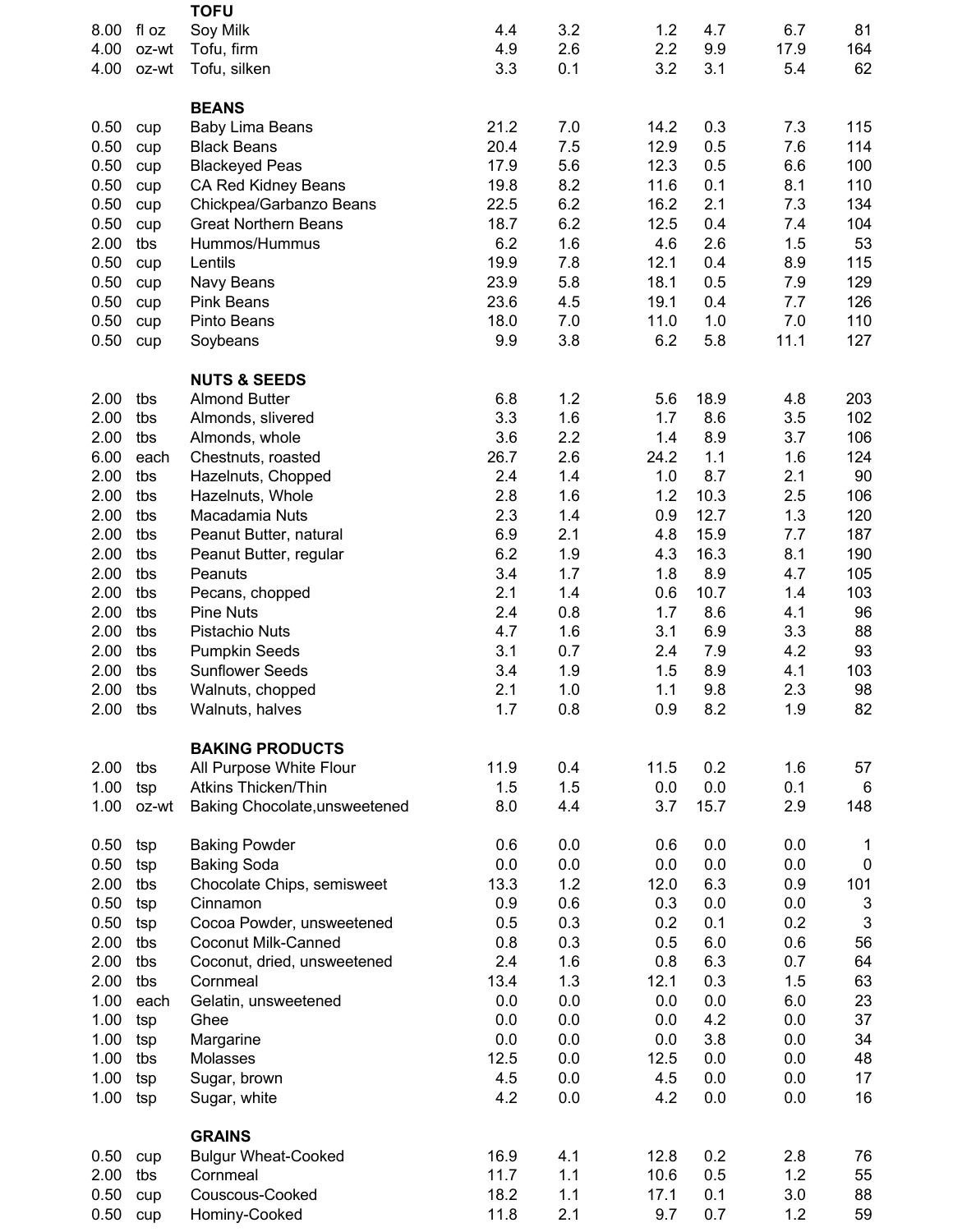| 8.00<br>4.00<br>4.00<br>0.50<br>0.50<br>0.50 | fl oz<br>oz-wt<br>oz-wt<br>cup<br>cup<br>cup<br>cup | Soy Milk<br>Tofu, firm<br>Tofu, silken<br><b>BEANS</b><br><b>Baby Lima Beans</b><br><b>Black Beans</b> | 4.4<br>4.9<br>3.3<br>21.2 | 3.2<br>2.6<br>0.1 | 1.2<br>2.2<br>3.2 | 4.7<br>9.9<br>3.1 | 6.7<br>17.9<br>5.4 | 81<br>164<br>62           |
|----------------------------------------------|-----------------------------------------------------|--------------------------------------------------------------------------------------------------------|---------------------------|-------------------|-------------------|-------------------|--------------------|---------------------------|
|                                              |                                                     |                                                                                                        |                           |                   |                   |                   |                    |                           |
|                                              |                                                     |                                                                                                        |                           |                   |                   |                   |                    |                           |
|                                              |                                                     |                                                                                                        |                           |                   |                   |                   |                    |                           |
|                                              |                                                     |                                                                                                        |                           |                   |                   |                   |                    |                           |
|                                              |                                                     |                                                                                                        |                           |                   |                   |                   |                    |                           |
|                                              |                                                     |                                                                                                        |                           | 7.0               | 14.2              | 0.3               | 7.3                | 115                       |
|                                              |                                                     |                                                                                                        | 20.4                      | 7.5               | 12.9              | 0.5               | 7.6                | 114                       |
|                                              |                                                     | <b>Blackeyed Peas</b>                                                                                  | 17.9                      | 5.6               | 12.3              | 0.5               | 6.6                | 100                       |
| 0.50                                         |                                                     | CA Red Kidney Beans                                                                                    | 19.8                      | 8.2               | 11.6              | 0.1               | 8.1                | 110                       |
| 0.50                                         | cup                                                 | Chickpea/Garbanzo Beans                                                                                | 22.5                      | 6.2               | 16.2              | 2.1               | 7.3                | 134                       |
| 0.50                                         | cup                                                 | <b>Great Northern Beans</b>                                                                            | 18.7                      | 6.2               | 12.5              | 0.4               | 7.4                | 104                       |
| 2.00                                         | tbs                                                 | Hummos/Hummus                                                                                          | 6.2                       | 1.6               | 4.6               | 2.6               | 1.5                | 53                        |
| 0.50                                         | cup                                                 | Lentils                                                                                                | 19.9                      | 7.8               | 12.1              | 0.4               | 8.9                | 115                       |
| 0.50                                         | cup                                                 | Navy Beans                                                                                             | 23.9                      | 5.8               | 18.1              | 0.5               | 7.9                | 129                       |
| 0.50                                         | cup                                                 | <b>Pink Beans</b>                                                                                      | 23.6                      | 4.5               | 19.1              | 0.4               | 7.7                | 126                       |
| 0.50                                         | cup                                                 | Pinto Beans                                                                                            | 18.0                      | 7.0               | 11.0              | 1.0               | 7.0                | 110                       |
| 0.50                                         | cup                                                 | Soybeans                                                                                               | 9.9                       | 3.8               | 6.2               | 5.8               | 11.1               | 127                       |
|                                              |                                                     |                                                                                                        |                           |                   |                   |                   |                    |                           |
|                                              |                                                     | <b>NUTS &amp; SEEDS</b>                                                                                |                           |                   |                   |                   |                    |                           |
| 2.00                                         | tbs                                                 | <b>Almond Butter</b>                                                                                   | 6.8                       | 1.2               | 5.6               | 18.9              | 4.8                | 203                       |
| 2.00                                         | tbs                                                 | Almonds, slivered                                                                                      | 3.3                       | 1.6               | 1.7               | 8.6               | 3.5                | 102                       |
| 2.00                                         | tbs                                                 | Almonds, whole                                                                                         | 3.6                       | 2.2               | 1.4               | 8.9               | 3.7                | 106                       |
| 6.00                                         | each                                                | Chestnuts, roasted                                                                                     | 26.7                      | 2.6               | 24.2              | 1.1               | 1.6                | 124                       |
| 2.00                                         | tbs                                                 | Hazelnuts, Chopped                                                                                     | 2.4                       | 1.4               | 1.0               | 8.7               | 2.1                | 90                        |
| 2.00                                         | tbs                                                 | Hazelnuts, Whole                                                                                       | 2.8                       | 1.6               | 1.2               | 10.3              | 2.5                | 106                       |
| 2.00                                         | tbs                                                 | Macadamia Nuts                                                                                         | 2.3                       | 1.4               | 0.9               | 12.7              | 1.3                | 120                       |
| 2.00                                         | tbs                                                 | Peanut Butter, natural                                                                                 | 6.9                       | 2.1               | 4.8               | 15.9              | 7.7                | 187                       |
| 2.00                                         | tbs                                                 | Peanut Butter, regular                                                                                 | 6.2                       | 1.9               | 4.3               | 16.3              | 8.1                | 190                       |
| 2.00                                         | tbs                                                 | Peanuts                                                                                                | 3.4                       | 1.7               | 1.8               | 8.9               | 4.7                | 105                       |
| 2.00                                         | tbs                                                 | Pecans, chopped                                                                                        | 2.1                       | 1.4               | 0.6               | 10.7              | 1.4                | 103                       |
| 2.00                                         | tbs                                                 | <b>Pine Nuts</b>                                                                                       | 2.4                       | 0.8               | 1.7               | 8.6               | 4.1                | 96                        |
| 2.00                                         | tbs                                                 | Pistachio Nuts                                                                                         | 4.7                       | 1.6               | 3.1               | 6.9               | 3.3                | 88                        |
| 2.00                                         | tbs                                                 | <b>Pumpkin Seeds</b>                                                                                   | 3.1                       | 0.7               | 2.4               | 7.9               | 4.2                | 93                        |
| 2.00                                         | tbs                                                 | <b>Sunflower Seeds</b>                                                                                 | 3.4                       | 1.9               | 1.5               | 8.9               | 4.1                | 103                       |
| 2.00                                         | tbs                                                 | Walnuts, chopped                                                                                       | 2.1                       | 1.0               | 1.1               | 9.8               | 2.3                | 98                        |
| 2.00                                         | tbs                                                 | Walnuts, halves                                                                                        | 1.7                       | 0.8               | 0.9               | 8.2               | 1.9                | 82                        |
|                                              |                                                     |                                                                                                        |                           |                   |                   |                   |                    |                           |
|                                              |                                                     | <b>BAKING PRODUCTS</b>                                                                                 |                           |                   |                   |                   |                    |                           |
| 2.00                                         | tbs                                                 | All Purpose White Flour                                                                                | 11.9                      | 0.4               | 11.5              | 0.2               | 1.6                | 57                        |
| 1.00                                         | tsp                                                 | <b>Atkins Thicken/Thin</b>                                                                             | 1.5                       | 1.5               | 0.0               | 0.0               | 0.1                | 6                         |
| 1.00                                         | oz-wt                                               | Baking Chocolate, unsweetened                                                                          | 8.0                       | 4.4               | 3.7               | 15.7              | 2.9                | 148                       |
|                                              |                                                     |                                                                                                        |                           |                   |                   |                   |                    |                           |
| 0.50                                         | tsp                                                 | <b>Baking Powder</b>                                                                                   | 0.6                       | 0.0               | 0.6               | 0.0               | 0.0                | 1                         |
| 0.50                                         | tsp                                                 | <b>Baking Soda</b>                                                                                     | 0.0                       | 0.0               | 0.0               | 0.0               | 0.0                | $\boldsymbol{0}$          |
| 2.00                                         | tbs                                                 | Chocolate Chips, semisweet                                                                             | 13.3                      | 1.2               | 12.0              | 6.3               | 0.9                | 101                       |
| 0.50                                         | tsp                                                 | Cinnamon                                                                                               | 0.9                       | 0.6               | 0.3               | 0.0               | 0.0                | $\mathsf 3$               |
| 0.50                                         | tsp                                                 | Cocoa Powder, unsweetened                                                                              | 0.5                       | 0.3               | 0.2               | 0.1               | 0.2                | $\ensuremath{\mathsf{3}}$ |
| 2.00                                         | tbs                                                 | <b>Coconut Milk-Canned</b>                                                                             | 0.8                       | 0.3               | 0.5               | 6.0               | 0.6                | 56                        |
| 2.00                                         | tbs                                                 | Coconut, dried, unsweetened                                                                            | 2.4                       | 1.6               | 0.8               | 6.3               | 0.7                | 64                        |
| 2.00                                         | tbs                                                 | Cornmeal                                                                                               | 13.4                      | 1.3               | 12.1              | 0.3               | 1.5                | 63                        |
| 1.00                                         | each                                                | Gelatin, unsweetened                                                                                   | 0.0                       | 0.0               | 0.0               | 0.0               | 6.0                | 23                        |
| 1.00                                         | tsp                                                 | Ghee                                                                                                   | 0.0                       | 0.0               | 0.0               | 4.2               | 0.0                | 37                        |
| 1.00                                         | tsp                                                 | Margarine                                                                                              | 0.0                       | 0.0               | 0.0               | 3.8               | 0.0                | 34                        |
| 1.00                                         | tbs                                                 | Molasses                                                                                               | 12.5                      | 0.0               | 12.5              | 0.0               | 0.0                | 48                        |
| 1.00                                         | tsp                                                 | Sugar, brown                                                                                           | 4.5                       | 0.0               | 4.5               | 0.0               | 0.0                | 17                        |
| 1.00                                         | tsp                                                 | Sugar, white                                                                                           | 4.2                       | 0.0               | 4.2               | 0.0               | 0.0                | 16                        |
|                                              |                                                     |                                                                                                        |                           |                   |                   |                   |                    |                           |
|                                              |                                                     | <b>GRAINS</b>                                                                                          |                           |                   |                   |                   |                    |                           |
| 0.50                                         | cup                                                 | <b>Bulgur Wheat-Cooked</b>                                                                             | 16.9                      | 4.1               | 12.8              | 0.2               | 2.8                | 76                        |
| 2.00                                         | tbs                                                 | Cornmeal                                                                                               | 11.7                      | 1.1               | 10.6              | 0.5               | 1.2                | 55                        |
| 0.50                                         | cup                                                 | Couscous-Cooked                                                                                        | 18.2                      | 1.1               | 17.1              | 0.1               | 3.0                | 88                        |
| 0.50                                         | cup                                                 | Hominy-Cooked                                                                                          | 11.8                      | 2.1               | 9.7               | 0.7               | 1.2                | 59                        |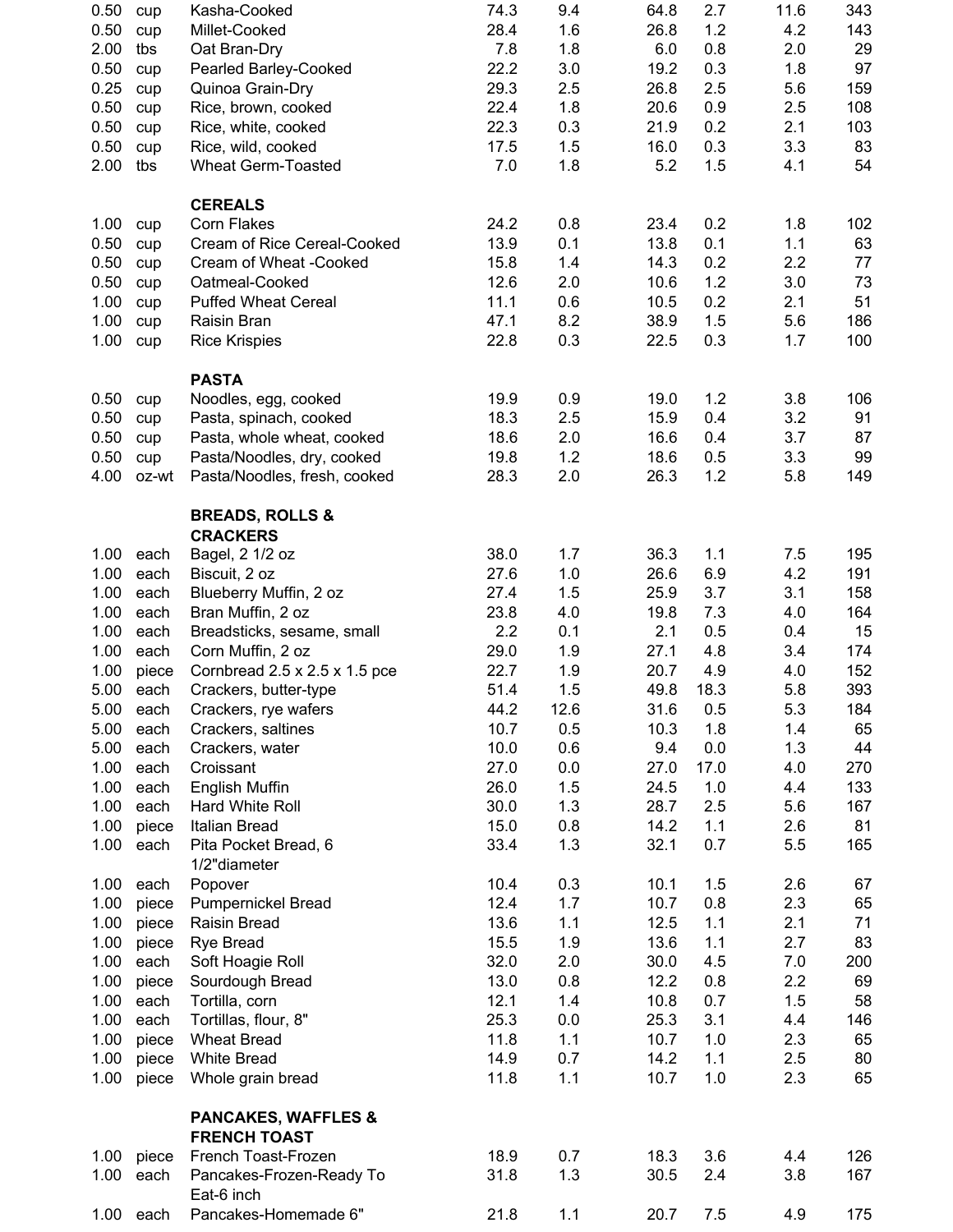| 0.50 | cup        | Kasha-Cooked                                          | 74.3 | 9.4  | 64.8 | 2.7  | 11.6 | 343 |
|------|------------|-------------------------------------------------------|------|------|------|------|------|-----|
| 0.50 | cup        | Millet-Cooked                                         | 28.4 | 1.6  | 26.8 | 1.2  | 4.2  | 143 |
| 2.00 | tbs        | Oat Bran-Dry                                          | 7.8  | 1.8  | 6.0  | 0.8  | 2.0  | 29  |
| 0.50 | cup        | Pearled Barley-Cooked                                 | 22.2 | 3.0  | 19.2 | 0.3  | 1.8  | 97  |
| 0.25 | cup        | Quinoa Grain-Dry                                      | 29.3 | 2.5  | 26.8 | 2.5  | 5.6  | 159 |
| 0.50 | cup        | Rice, brown, cooked                                   | 22.4 | 1.8  | 20.6 | 0.9  | 2.5  | 108 |
| 0.50 | cup        | Rice, white, cooked                                   | 22.3 | 0.3  | 21.9 | 0.2  | 2.1  | 103 |
| 0.50 | cup        | Rice, wild, cooked                                    | 17.5 | 1.5  | 16.0 | 0.3  | 3.3  | 83  |
| 2.00 | tbs        | <b>Wheat Germ-Toasted</b>                             | 7.0  | 1.8  | 5.2  | 1.5  | 4.1  | 54  |
|      |            |                                                       |      |      |      |      |      |     |
| 1.00 | cup        | <b>CEREALS</b><br><b>Corn Flakes</b>                  | 24.2 | 0.8  | 23.4 | 0.2  | 1.8  | 102 |
| 0.50 | cup        | Cream of Rice Cereal-Cooked                           | 13.9 | 0.1  | 13.8 | 0.1  | 1.1  | 63  |
| 0.50 | cup        | Cream of Wheat -Cooked                                | 15.8 | 1.4  | 14.3 | 0.2  | 2.2  | 77  |
| 0.50 | cup        | Oatmeal-Cooked                                        | 12.6 | 2.0  | 10.6 | 1.2  | 3.0  | 73  |
| 1.00 |            | <b>Puffed Wheat Cereal</b>                            | 11.1 | 0.6  | 10.5 | 0.2  | 2.1  | 51  |
| 1.00 | cup<br>cup | Raisin Bran                                           | 47.1 | 8.2  | 38.9 | 1.5  | 5.6  | 186 |
| 1.00 | cup        | <b>Rice Krispies</b>                                  | 22.8 | 0.3  | 22.5 | 0.3  | 1.7  | 100 |
|      |            |                                                       |      |      |      |      |      |     |
|      |            | <b>PASTA</b>                                          |      |      |      |      |      |     |
| 0.50 | cup        | Noodles, egg, cooked                                  | 19.9 | 0.9  | 19.0 | 1.2  | 3.8  | 106 |
| 0.50 | cup        | Pasta, spinach, cooked                                | 18.3 | 2.5  | 15.9 | 0.4  | 3.2  | 91  |
| 0.50 | cup        | Pasta, whole wheat, cooked                            | 18.6 | 2.0  | 16.6 | 0.4  | 3.7  | 87  |
| 0.50 | cup        | Pasta/Noodles, dry, cooked                            | 19.8 | 1.2  | 18.6 | 0.5  | 3.3  | 99  |
| 4.00 | oz-wt      | Pasta/Noodles, fresh, cooked                          | 28.3 | 2.0  | 26.3 | 1.2  | 5.8  | 149 |
|      |            | <b>BREADS, ROLLS &amp;</b>                            |      |      |      |      |      |     |
|      |            | <b>CRACKERS</b>                                       |      |      |      |      |      |     |
| 1.00 | each       | Bagel, 2 1/2 oz                                       | 38.0 | 1.7  | 36.3 | 1.1  | 7.5  | 195 |
| 1.00 | each       | Biscuit, 2 oz                                         | 27.6 | 1.0  | 26.6 | 6.9  | 4.2  | 191 |
| 1.00 | each       | Blueberry Muffin, 2 oz                                | 27.4 | 1.5  | 25.9 | 3.7  | 3.1  | 158 |
| 1.00 | each       | Bran Muffin, 2 oz                                     | 23.8 | 4.0  | 19.8 | 7.3  | 4.0  | 164 |
| 1.00 | each       | Breadsticks, sesame, small                            | 2.2  | 0.1  | 2.1  | 0.5  | 0.4  | 15  |
| 1.00 | each       | Corn Muffin, 2 oz                                     | 29.0 | 1.9  | 27.1 | 4.8  | 3.4  | 174 |
| 1.00 | piece      | Cornbread $2.5 \times 2.5 \times 1.5$ pce             | 22.7 | 1.9  | 20.7 | 4.9  | 4.0  | 152 |
| 5.00 | each       | Crackers, butter-type                                 | 51.4 | 1.5  | 49.8 | 18.3 | 5.8  | 393 |
| 5.00 | each       | Crackers, rye wafers                                  | 44.2 | 12.6 | 31.6 | 0.5  | 5.3  | 184 |
| 5.00 | each       | Crackers, saltines                                    | 10.7 | 0.5  | 10.3 | 1.8  | 1.4  | 65  |
| 5.00 | each       | Crackers, water                                       | 10.0 | 0.6  | 9.4  | 0.0  | 1.3  | 44  |
| 1.00 | each       | Croissant                                             | 27.0 | 0.0  | 27.0 | 17.0 | 4.0  | 270 |
| 1.00 | each       | English Muffin                                        | 26.0 | 1.5  | 24.5 | 1.0  | 4.4  | 133 |
| 1.00 | each       | Hard White Roll                                       | 30.0 | 1.3  | 28.7 | 2.5  | 5.6  | 167 |
| 1.00 | piece      | Italian Bread                                         | 15.0 | 0.8  | 14.2 | 1.1  | 2.6  | 81  |
| 1.00 | each       | Pita Pocket Bread, 6                                  | 33.4 | 1.3  | 32.1 | 0.7  | 5.5  | 165 |
|      |            | 1/2"diameter                                          |      |      |      |      |      |     |
| 1.00 | each       | Popover                                               | 10.4 | 0.3  | 10.1 | 1.5  | 2.6  | 67  |
| 1.00 | piece      | <b>Pumpernickel Bread</b>                             | 12.4 | 1.7  | 10.7 | 0.8  | 2.3  | 65  |
| 1.00 | piece      | Raisin Bread                                          | 13.6 | 1.1  | 12.5 | 1.1  | 2.1  | 71  |
| 1.00 | piece      | Rye Bread                                             | 15.5 | 1.9  | 13.6 | 1.1  | 2.7  | 83  |
| 1.00 | each       | Soft Hoagie Roll                                      | 32.0 | 2.0  | 30.0 | 4.5  | 7.0  | 200 |
| 1.00 | piece      | Sourdough Bread                                       | 13.0 | 0.8  | 12.2 | 0.8  | 2.2  | 69  |
| 1.00 | each       | Tortilla, corn                                        | 12.1 | 1.4  | 10.8 | 0.7  | 1.5  | 58  |
| 1.00 | each       | Tortillas, flour, 8"                                  | 25.3 | 0.0  | 25.3 | 3.1  | 4.4  | 146 |
| 1.00 | piece      | <b>Wheat Bread</b>                                    | 11.8 | 1.1  | 10.7 | 1.0  | 2.3  | 65  |
| 1.00 | piece      | <b>White Bread</b>                                    | 14.9 | 0.7  | 14.2 | 1.1  | 2.5  | 80  |
| 1.00 | piece      | Whole grain bread                                     | 11.8 | 1.1  | 10.7 | 1.0  | 2.3  | 65  |
|      |            |                                                       |      |      |      |      |      |     |
|      |            | <b>PANCAKES, WAFFLES &amp;</b><br><b>FRENCH TOAST</b> |      |      |      |      |      |     |
| 1.00 | piece      | French Toast-Frozen                                   | 18.9 | 0.7  | 18.3 | 3.6  | 4.4  | 126 |
| 1.00 | each       | Pancakes-Frozen-Ready To                              | 31.8 | 1.3  | 30.5 | 2.4  | 3.8  | 167 |
|      |            | Eat-6 inch                                            |      |      |      |      |      |     |
| 1.00 | each       | Pancakes-Homemade 6"                                  | 21.8 | 1.1  | 20.7 | 7.5  | 4.9  | 175 |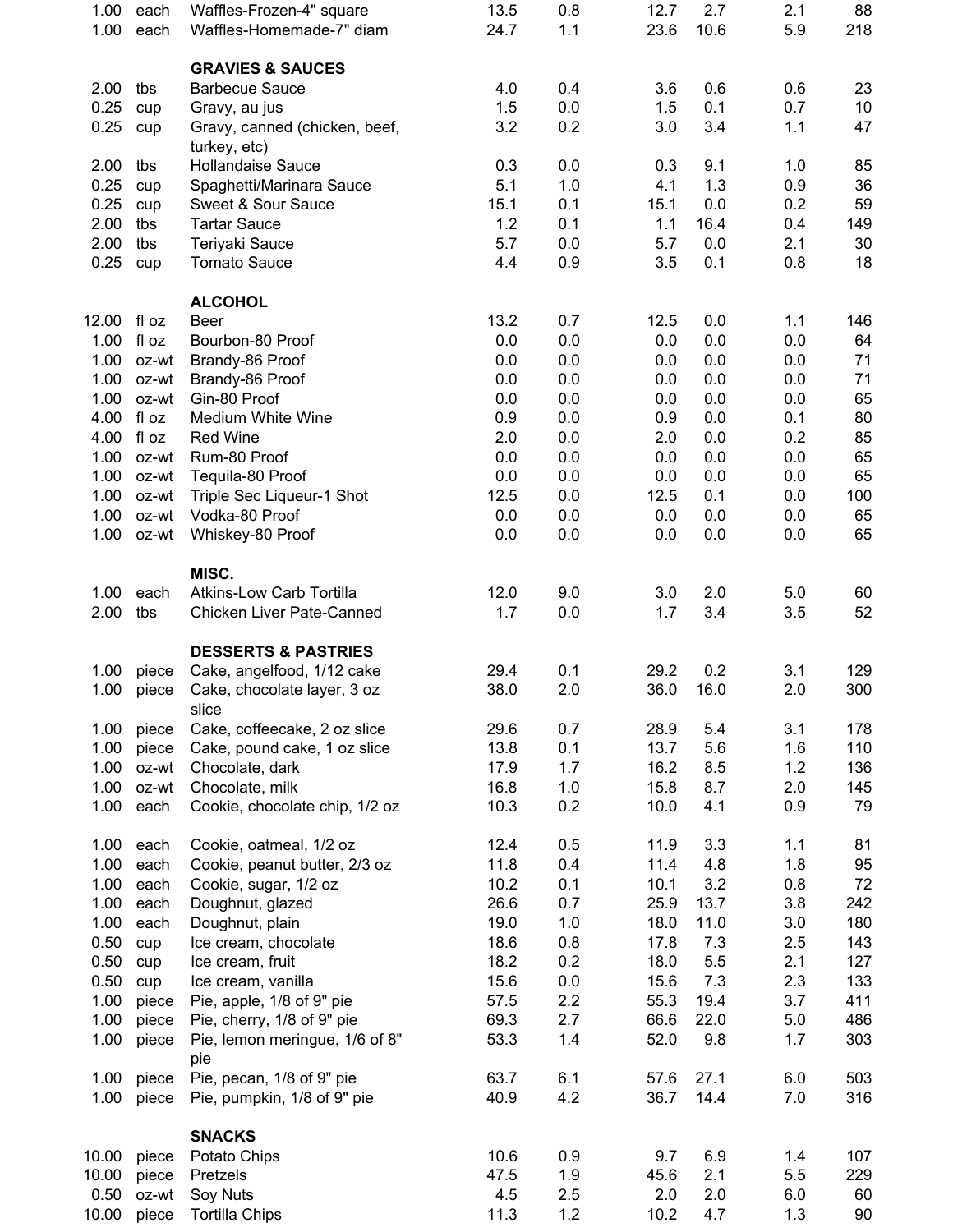| 1.00          | each           | Waffles-Frozen-4" square                                     | 13.5         | 0.8        | 12.7         | 2.7          | 2.1        | 88         |
|---------------|----------------|--------------------------------------------------------------|--------------|------------|--------------|--------------|------------|------------|
| 1.00          | each           | Waffles-Homemade-7" diam                                     | 24.7         | 1.1        | 23.6         | 10.6         | 5.9        | 218        |
|               |                | <b>GRAVIES &amp; SAUCES</b>                                  |              |            |              |              |            |            |
| 2.00          | tbs            | <b>Barbecue Sauce</b>                                        | 4.0          | 0.4        | 3.6          | 0.6          | 0.6        | 23         |
| 0.25          | cup            | Gravy, au jus                                                | 1.5          | 0.0        | 1.5          | 0.1          | 0.7        | 10         |
| 0.25          | cup            | Gravy, canned (chicken, beef,<br>turkey, etc)                | 3.2          | 0.2        | 3.0          | 3.4          | 1.1        | 47         |
| 2.00          | tbs            | <b>Hollandaise Sauce</b>                                     | 0.3          | 0.0        | 0.3          | 9.1          | 1.0        | 85         |
| 0.25          | cup            | Spaghetti/Marinara Sauce                                     | 5.1          | 1.0        | 4.1          | 1.3          | 0.9        | 36         |
| 0.25          | cup            | Sweet & Sour Sauce                                           | 15.1         | 0.1        | 15.1         | $0.0\,$      | 0.2        | 59         |
| 2.00          | tbs            | <b>Tartar Sauce</b>                                          | 1.2          | 0.1        | 1.1          | 16.4         | 0.4        | 149        |
| 2.00<br>0.25  | tbs<br>cup     | Teriyaki Sauce<br><b>Tomato Sauce</b>                        | 5.7<br>4.4   | 0.0<br>0.9 | 5.7<br>3.5   | 0.0<br>0.1   | 2.1<br>0.8 | 30<br>18   |
|               |                |                                                              |              |            |              |              |            |            |
|               |                | <b>ALCOHOL</b>                                               |              |            |              |              |            |            |
| 12.00         | fl oz          | <b>Beer</b>                                                  | 13.2         | 0.7        | 12.5         | 0.0          | 1.1        | 146        |
| 1.00          | fl oz          | Bourbon-80 Proof                                             | 0.0          | 0.0        | 0.0          | 0.0          | 0.0        | 64         |
| 1.00          | oz-wt          | Brandy-86 Proof                                              | 0.0          | 0.0        | 0.0          | 0.0          | 0.0        | 71         |
| 1.00<br>1.00  | oz-wt<br>oz-wt | Brandy-86 Proof<br>Gin-80 Proof                              | 0.0<br>0.0   | 0.0<br>0.0 | 0.0<br>0.0   | 0.0<br>0.0   | 0.0<br>0.0 | 71<br>65   |
| 4.00          | fl oz          | Medium White Wine                                            | 0.9          | 0.0        | 0.9          | 0.0          | 0.1        | 80         |
| 4.00          | fl oz          | <b>Red Wine</b>                                              | 2.0          | 0.0        | 2.0          | 0.0          | 0.2        | 85         |
| 1.00          | oz-wt          | Rum-80 Proof                                                 | 0.0          | 0.0        | 0.0          | 0.0          | 0.0        | 65         |
| 1.00          | oz-wt          | Tequila-80 Proof                                             | 0.0          | 0.0        | 0.0          | 0.0          | 0.0        | 65         |
| 1.00          | oz-wt          | Triple Sec Liqueur-1 Shot                                    | 12.5         | 0.0        | 12.5         | 0.1          | 0.0        | 100        |
| 1.00          | oz-wt          | Vodka-80 Proof                                               | 0.0          | 0.0        | 0.0          | 0.0          | 0.0        | 65         |
| 1.00          | oz-wt          | Whiskey-80 Proof                                             | 0.0          | 0.0        | 0.0          | 0.0          | 0.0        | 65         |
|               |                | MISC.                                                        |              |            |              |              |            |            |
| 1.00          | each           | <b>Atkins-Low Carb Tortilla</b>                              | 12.0         | 9.0        | 3.0          | 2.0          | 5.0        | 60         |
| 2.00          | tbs            | Chicken Liver Pate-Canned                                    | 1.7          | 0.0        | 1.7          | 3.4          | 3.5        | 52         |
|               |                |                                                              |              |            |              |              |            |            |
| 1.00          | piece          | <b>DESSERTS &amp; PASTRIES</b><br>Cake, angelfood, 1/12 cake | 29.4         | 0.1        | 29.2         | 0.2          | 3.1        | 129        |
| 1.00          | piece          | Cake, chocolate layer, 3 oz                                  | 38.0         | 2.0        | 36.0         | 16.0         | 2.0        | 300        |
|               |                | slice                                                        |              |            |              |              |            |            |
| 1.00          | piece          | Cake, coffeecake, 2 oz slice                                 | 29.6         | 0.7        | 28.9         | 5.4          | 3.1        | 178        |
| 1.00          | piece          | Cake, pound cake, 1 oz slice                                 | 13.8         | 0.1        | 13.7         | 5.6          | 1.6        | 110        |
| 1.00          | oz-wt          | Chocolate, dark                                              | 17.9         | 1.7        | 16.2         | 8.5          | 1.2        | 136        |
| 1.00          | oz-wt<br>each  | Chocolate, milk                                              | 16.8         | 1.0<br>0.2 | 15.8         | 8.7          | 2.0        | 145        |
| 1.00          |                | Cookie, chocolate chip, 1/2 oz                               | 10.3         |            | 10.0         | 4.1          | 0.9        | 79         |
| 1.00          | each           | Cookie, oatmeal, 1/2 oz                                      | 12.4         | 0.5        | 11.9         | 3.3          | 1.1        | 81         |
| 1.00          | each           | Cookie, peanut butter, 2/3 oz                                | 11.8         | 0.4        | 11.4         | 4.8          | 1.8        | 95         |
| 1.00          | each           | Cookie, sugar, 1/2 oz                                        | 10.2         | 0.1        | 10.1         | 3.2          | 0.8        | 72         |
| 1.00          | each           | Doughnut, glazed                                             | 26.6         | 0.7        | 25.9         | 13.7         | 3.8        | 242        |
| 1.00<br>0.50  | each           | Doughnut, plain<br>Ice cream, chocolate                      | 19.0<br>18.6 | 1.0<br>0.8 | 18.0<br>17.8 | 11.0<br>7.3  | 3.0<br>2.5 | 180<br>143 |
| 0.50          | cup<br>cup     | Ice cream, fruit                                             | 18.2         | 0.2        | 18.0         | 5.5          | 2.1        | 127        |
| 0.50          | cup            | Ice cream, vanilla                                           | 15.6         | 0.0        | 15.6         | 7.3          | 2.3        | 133        |
| 1.00          | piece          | Pie, apple, 1/8 of 9" pie                                    | 57.5         | 2.2        | 55.3         | 19.4         | 3.7        | 411        |
| 1.00          | piece          | Pie, cherry, 1/8 of 9" pie                                   | 69.3         | 2.7        | 66.6         | 22.0         | 5.0        | 486        |
| 1.00          | piece          | Pie, lemon meringue, 1/6 of 8"                               | 53.3         | 1.4        | 52.0         | 9.8          | 1.7        | 303        |
|               |                | pie                                                          |              |            |              |              |            |            |
| 1.00<br>1.00  | piece<br>piece | Pie, pecan, 1/8 of 9" pie<br>Pie, pumpkin, 1/8 of 9" pie     | 63.7<br>40.9 | 6.1<br>4.2 | 57.6<br>36.7 | 27.1<br>14.4 | 6.0<br>7.0 | 503<br>316 |
|               |                |                                                              |              |            |              |              |            |            |
|               |                | <b>SNACKS</b>                                                |              |            |              |              |            |            |
| 10.00         | piece          | Potato Chips                                                 | 10.6         | 0.9        | 9.7          | 6.9          | 1.4        | 107        |
| 10.00         | piece          | Pretzels                                                     | 47.5         | 1.9        | 45.6         | 2.1          | 5.5        | 229        |
| 0.50<br>10.00 | oz-wt<br>piece | Soy Nuts<br><b>Tortilla Chips</b>                            | 4.5<br>11.3  | 2.5<br>1.2 | 2.0<br>10.2  | 2.0<br>4.7   | 6.0<br>1.3 | 60<br>90   |
|               |                |                                                              |              |            |              |              |            |            |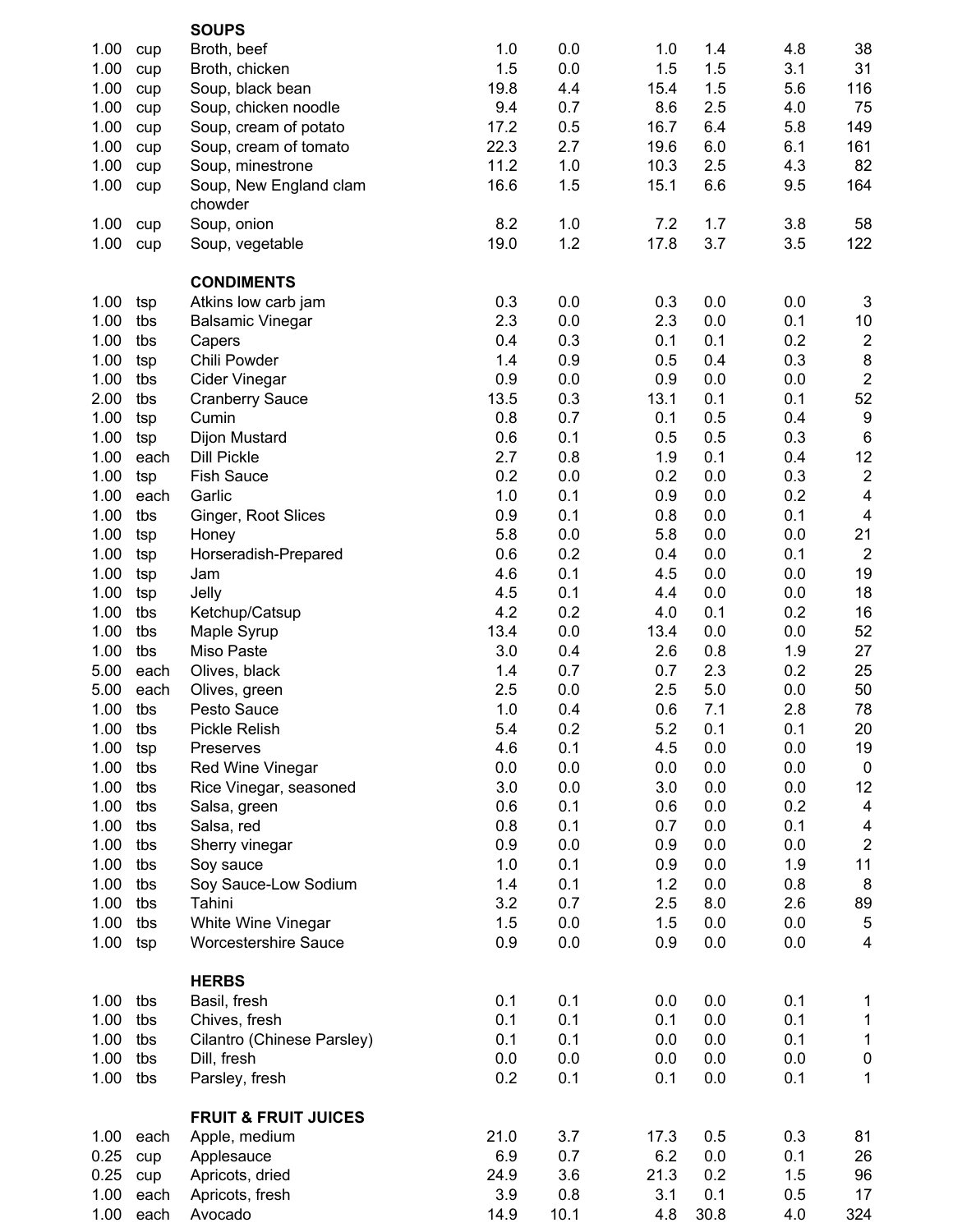|      |      | <b>SOUPS</b>                    |      |      |      |      |     |                         |
|------|------|---------------------------------|------|------|------|------|-----|-------------------------|
| 1.00 | cup  | Broth, beef                     | 1.0  | 0.0  | 1.0  | 1.4  | 4.8 | 38                      |
| 1.00 | cup  | Broth, chicken                  | 1.5  | 0.0  | 1.5  | 1.5  | 3.1 | 31                      |
| 1.00 | cup  | Soup, black bean                | 19.8 | 4.4  | 15.4 | 1.5  | 5.6 | 116                     |
| 1.00 | cup  | Soup, chicken noodle            | 9.4  | 0.7  | 8.6  | 2.5  | 4.0 | 75                      |
| 1.00 | cup  | Soup, cream of potato           | 17.2 | 0.5  | 16.7 | 6.4  | 5.8 | 149                     |
| 1.00 | cup  | Soup, cream of tomato           | 22.3 | 2.7  | 19.6 | 6.0  | 6.1 | 161                     |
| 1.00 | cup  | Soup, minestrone                | 11.2 | 1.0  | 10.3 | 2.5  | 4.3 | 82                      |
| 1.00 | cup  | Soup, New England clam          | 16.6 | 1.5  | 15.1 | 6.6  | 9.5 | 164                     |
|      |      | chowder                         |      |      |      |      |     |                         |
| 1.00 | cup  | Soup, onion                     | 8.2  | 1.0  | 7.2  | 1.7  | 3.8 | 58                      |
| 1.00 | cup  | Soup, vegetable                 | 19.0 | 1.2  | 17.8 | 3.7  | 3.5 | 122                     |
|      |      | <b>CONDIMENTS</b>               |      |      |      |      |     |                         |
| 1.00 | tsp  | Atkins low carb jam             | 0.3  | 0.0  | 0.3  | 0.0  | 0.0 | $\mathsf 3$             |
| 1.00 | tbs  | <b>Balsamic Vinegar</b>         | 2.3  | 0.0  | 2.3  | 0.0  | 0.1 | $10\,$                  |
| 1.00 | tbs  | Capers                          | 0.4  | 0.3  | 0.1  | 0.1  | 0.2 | $\sqrt{2}$              |
| 1.00 | tsp  | Chili Powder                    | 1.4  | 0.9  | 0.5  | 0.4  | 0.3 | $\bf 8$                 |
| 1.00 | tbs  | Cider Vinegar                   | 0.9  | 0.0  | 0.9  | 0.0  | 0.0 | $\overline{c}$          |
| 2.00 | tbs  | <b>Cranberry Sauce</b>          | 13.5 | 0.3  | 13.1 | 0.1  | 0.1 | 52                      |
| 1.00 | tsp  | Cumin                           | 0.8  | 0.7  | 0.1  | 0.5  | 0.4 | $\boldsymbol{9}$        |
| 1.00 | tsp  | Dijon Mustard                   | 0.6  | 0.1  | 0.5  | 0.5  | 0.3 | $\,6\,$                 |
| 1.00 | each | <b>Dill Pickle</b>              | 2.7  | 0.8  | 1.9  | 0.1  | 0.4 | 12                      |
| 1.00 | tsp  | <b>Fish Sauce</b>               | 0.2  | 0.0  | 0.2  | 0.0  | 0.3 | $\sqrt{2}$              |
| 1.00 | each | Garlic                          | 1.0  | 0.1  | 0.9  | 0.0  | 0.2 | $\overline{\mathbf{4}}$ |
| 1.00 | tbs  | Ginger, Root Slices             | 0.9  | 0.1  | 0.8  | 0.0  | 0.1 | $\overline{4}$          |
| 1.00 | tsp  | Honey                           | 5.8  | 0.0  | 5.8  | 0.0  | 0.0 | 21                      |
| 1.00 | tsp  | Horseradish-Prepared            | 0.6  | 0.2  | 0.4  | 0.0  | 0.1 | $\overline{2}$          |
| 1.00 | tsp  | Jam                             | 4.6  | 0.1  | 4.5  | 0.0  | 0.0 | 19                      |
| 1.00 | tsp  | Jelly                           | 4.5  | 0.1  | 4.4  | 0.0  | 0.0 | 18                      |
| 1.00 | tbs  | Ketchup/Catsup                  | 4.2  | 0.2  | 4.0  | 0.1  | 0.2 | 16                      |
| 1.00 | tbs  | Maple Syrup                     | 13.4 | 0.0  | 13.4 | 0.0  | 0.0 | 52                      |
| 1.00 | tbs  | Miso Paste                      | 3.0  | 0.4  | 2.6  | 0.8  | 1.9 | 27                      |
|      |      |                                 | 1.4  | 0.7  | 0.7  |      | 0.2 | 25                      |
| 5.00 | each | Olives, black                   |      |      |      | 2.3  |     |                         |
| 5.00 | each | Olives, green                   | 2.5  | 0.0  | 2.5  | 5.0  | 0.0 | 50                      |
| 1.00 | tbs  | Pesto Sauce                     | 1.0  | 0.4  | 0.6  | 7.1  | 2.8 | 78                      |
| 1.00 | tbs  | Pickle Relish                   | 5.4  | 0.2  | 5.2  | 0.1  | 0.1 | 20                      |
| 1.00 | tsp  | Preserves                       | 4.6  | 0.1  | 4.5  | 0.0  | 0.0 | 19                      |
| 1.00 | tbs  | Red Wine Vinegar                | 0.0  | 0.0  | 0.0  | 0.0  | 0.0 | $\pmb{0}$               |
| 1.00 | tbs  | Rice Vinegar, seasoned          | 3.0  | 0.0  | 3.0  | 0.0  | 0.0 | 12                      |
| 1.00 | tbs  | Salsa, green                    | 0.6  | 0.1  | 0.6  | 0.0  | 0.2 | 4                       |
| 1.00 | tbs  | Salsa, red                      | 0.8  | 0.1  | 0.7  | 0.0  | 0.1 | $\overline{4}$          |
| 1.00 | tbs  | Sherry vinegar                  | 0.9  | 0.0  | 0.9  | 0.0  | 0.0 | $\sqrt{2}$              |
| 1.00 | tbs  | Soy sauce                       | 1.0  | 0.1  | 0.9  | 0.0  | 1.9 | 11                      |
| 1.00 | tbs  | Soy Sauce-Low Sodium            | 1.4  | 0.1  | 1.2  | 0.0  | 0.8 | $\bf 8$                 |
| 1.00 | tbs  | Tahini                          | 3.2  | 0.7  | 2.5  | 8.0  | 2.6 | 89                      |
| 1.00 | tbs  | White Wine Vinegar              | 1.5  | 0.0  | 1.5  | 0.0  | 0.0 | $\,$ 5 $\,$             |
| 1.00 | tsp  | <b>Worcestershire Sauce</b>     | 0.9  | 0.0  | 0.9  | 0.0  | 0.0 | $\overline{\mathbf{4}}$ |
|      |      | <b>HERBS</b>                    |      |      |      |      |     |                         |
| 1.00 | tbs  | Basil, fresh                    | 0.1  | 0.1  | 0.0  | 0.0  | 0.1 | 1                       |
| 1.00 | tbs  | Chives, fresh                   | 0.1  | 0.1  | 0.1  | 0.0  | 0.1 | $\mathbf{1}$            |
| 1.00 | tbs  | Cilantro (Chinese Parsley)      | 0.1  | 0.1  | 0.0  | 0.0  | 0.1 | $\mathbf 1$             |
| 1.00 | tbs  | Dill, fresh                     | 0.0  | 0.0  | 0.0  | 0.0  | 0.0 | $\pmb{0}$               |
| 1.00 | tbs  | Parsley, fresh                  | 0.2  | 0.1  | 0.1  | 0.0  | 0.1 | 1                       |
|      |      | <b>FRUIT &amp; FRUIT JUICES</b> |      |      |      |      |     |                         |
| 1.00 | each | Apple, medium                   | 21.0 | 3.7  | 17.3 | 0.5  | 0.3 | 81                      |
| 0.25 | cup  | Applesauce                      | 6.9  | 0.7  | 6.2  | 0.0  | 0.1 | 26                      |
| 0.25 | cup  | Apricots, dried                 | 24.9 | 3.6  | 21.3 | 0.2  | 1.5 | 96                      |
| 1.00 | each | Apricots, fresh                 | 3.9  | 0.8  | 3.1  | 0.1  | 0.5 | 17                      |
| 1.00 | each | Avocado                         | 14.9 | 10.1 | 4.8  | 30.8 | 4.0 | 324                     |
|      |      |                                 |      |      |      |      |     |                         |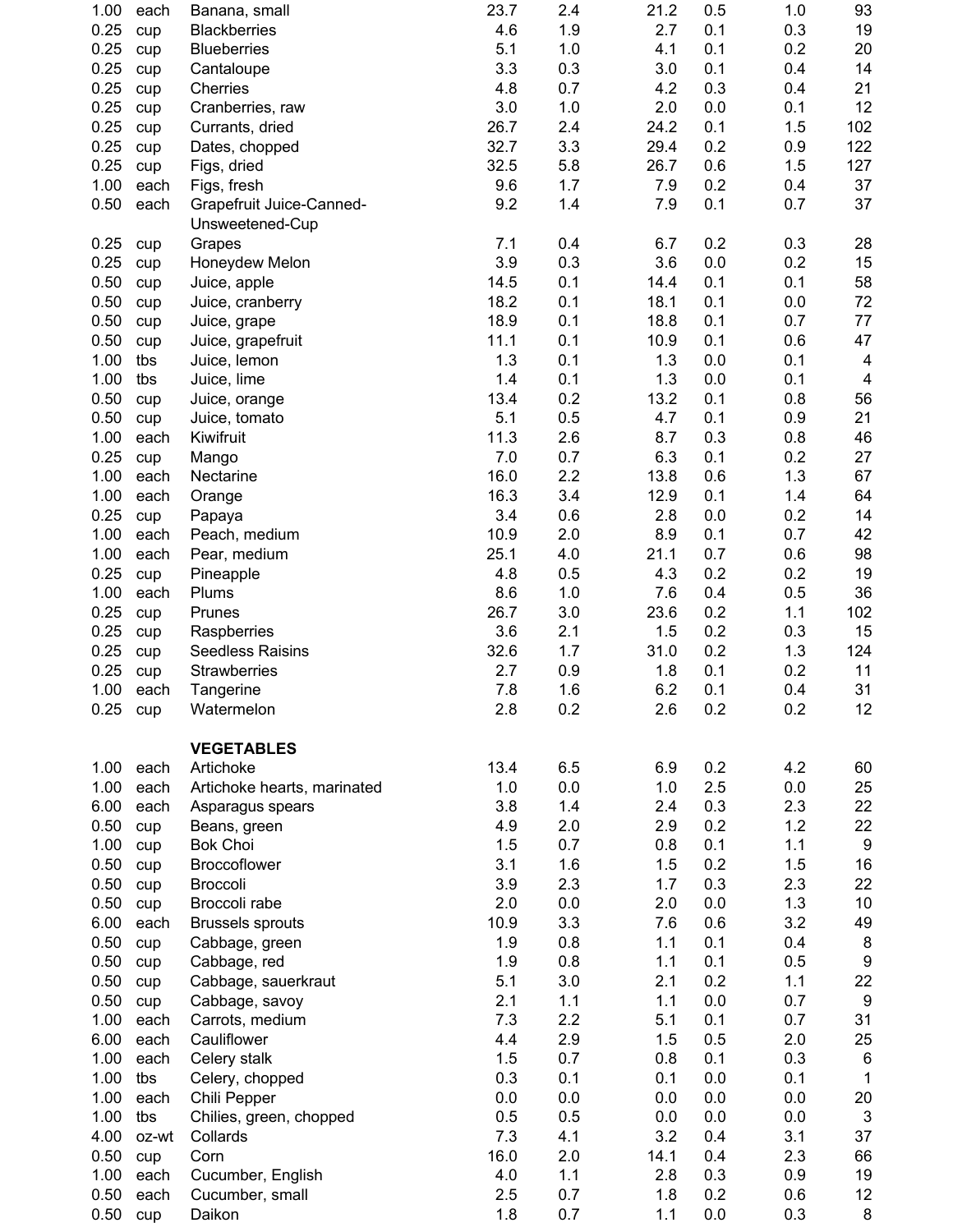| 1.00 | each       | Banana, small                   | 23.7 | 2.4 | 21.2 | 0.5     | 1.0 | 93                      |
|------|------------|---------------------------------|------|-----|------|---------|-----|-------------------------|
| 0.25 | cup        | <b>Blackberries</b>             | 4.6  | 1.9 | 2.7  | 0.1     | 0.3 | 19                      |
| 0.25 | cup        | <b>Blueberries</b>              | 5.1  | 1.0 | 4.1  | 0.1     | 0.2 | 20                      |
| 0.25 | cup        | Cantaloupe                      | 3.3  | 0.3 | 3.0  | 0.1     | 0.4 | 14                      |
| 0.25 | cup        | Cherries                        | 4.8  | 0.7 | 4.2  | 0.3     | 0.4 | 21                      |
| 0.25 | cup        | Cranberries, raw                | 3.0  | 1.0 | 2.0  | 0.0     | 0.1 | 12                      |
| 0.25 | cup        | Currants, dried                 | 26.7 | 2.4 | 24.2 | 0.1     | 1.5 | 102                     |
| 0.25 | cup        | Dates, chopped                  | 32.7 | 3.3 | 29.4 | 0.2     | 0.9 | 122                     |
| 0.25 | cup        | Figs, dried                     | 32.5 | 5.8 | 26.7 | 0.6     | 1.5 | 127                     |
| 1.00 | each       | Figs, fresh                     | 9.6  | 1.7 | 7.9  | 0.2     | 0.4 | 37                      |
| 0.50 | each       | Grapefruit Juice-Canned-        | 9.2  | 1.4 | 7.9  | 0.1     | 0.7 | 37                      |
|      |            | Unsweetened-Cup                 |      |     |      |         |     |                         |
| 0.25 | cup        | Grapes                          | 7.1  | 0.4 | 6.7  | 0.2     | 0.3 | 28                      |
| 0.25 | cup        | Honeydew Melon                  | 3.9  | 0.3 | 3.6  | 0.0     | 0.2 | 15                      |
| 0.50 | cup        | Juice, apple                    | 14.5 | 0.1 | 14.4 | 0.1     | 0.1 | 58                      |
| 0.50 | cup        | Juice, cranberry                | 18.2 | 0.1 | 18.1 | 0.1     | 0.0 | 72                      |
| 0.50 | cup        | Juice, grape                    | 18.9 | 0.1 | 18.8 | 0.1     | 0.7 | 77                      |
| 0.50 | cup        | Juice, grapefruit               | 11.1 | 0.1 | 10.9 | 0.1     | 0.6 | 47                      |
| 1.00 | tbs        | Juice, lemon                    | 1.3  | 0.1 | 1.3  | 0.0     | 0.1 | 4                       |
| 1.00 | tbs        | Juice, lime                     | 1.4  | 0.1 | 1.3  | 0.0     | 0.1 | $\overline{\mathbf{4}}$ |
| 0.50 | cup        | Juice, orange                   | 13.4 | 0.2 | 13.2 | 0.1     | 0.8 | 56                      |
| 0.50 | cup        | Juice, tomato                   | 5.1  | 0.5 | 4.7  | 0.1     | 0.9 | 21                      |
| 1.00 | each       | Kiwifruit                       | 11.3 | 2.6 | 8.7  | 0.3     | 0.8 | 46                      |
| 0.25 | cup        | Mango                           | 7.0  | 0.7 | 6.3  | 0.1     | 0.2 | 27                      |
| 1.00 | each       | Nectarine                       | 16.0 | 2.2 | 13.8 | 0.6     | 1.3 | 67                      |
| 1.00 | each       | Orange                          | 16.3 | 3.4 | 12.9 | 0.1     | 1.4 | 64                      |
| 0.25 | cup        | Papaya                          | 3.4  | 0.6 | 2.8  | 0.0     | 0.2 | 14                      |
| 1.00 | each       | Peach, medium                   | 10.9 | 2.0 | 8.9  | 0.1     | 0.7 | 42                      |
| 1.00 | each       | Pear, medium                    | 25.1 | 4.0 | 21.1 | 0.7     | 0.6 | 98                      |
| 0.25 | cup        | Pineapple                       | 4.8  | 0.5 | 4.3  | 0.2     | 0.2 | 19                      |
| 1.00 | each       | Plums                           | 8.6  | 1.0 | 7.6  | 0.4     | 0.5 | 36                      |
| 0.25 | cup        | Prunes                          | 26.7 | 3.0 | 23.6 | 0.2     | 1.1 | 102                     |
| 0.25 | cup        | Raspberries                     | 3.6  | 2.1 | 1.5  | 0.2     | 0.3 | 15                      |
| 0.25 | cup        | <b>Seedless Raisins</b>         | 32.6 | 1.7 | 31.0 | 0.2     | 1.3 | 124                     |
| 0.25 | cup        | Strawberries                    | 2.7  | 0.9 | 1.8  | 0.1     | 0.2 | 11                      |
| 1.00 | each       | Tangerine                       | 7.8  | 1.6 | 6.2  | 0.1     | 0.4 | 31                      |
| 0.25 | cup        | Watermelon                      | 2.8  | 0.2 | 2.6  | 0.2     | 0.2 | 12                      |
|      |            |                                 |      |     |      |         |     |                         |
|      |            | <b>VEGETABLES</b>               |      |     |      |         |     |                         |
| 1.00 | each       | Artichoke                       | 13.4 | 6.5 | 6.9  | 0.2     | 4.2 | 60                      |
| 1.00 | each       | Artichoke hearts, marinated     | 1.0  | 0.0 | 1.0  | 2.5     | 0.0 | 25                      |
| 6.00 | each       | Asparagus spears                | 3.8  | 1.4 | 2.4  | 0.3     | 2.3 | 22                      |
| 0.50 |            |                                 | 4.9  | 2.0 | 2.9  | 0.2     | 1.2 | 22                      |
| 1.00 | cup        | Beans, green<br><b>Bok Choi</b> | 1.5  | 0.7 | 0.8  | 0.1     | 1.1 | $\boldsymbol{9}$        |
| 0.50 | cup        | Broccoflower                    | 3.1  | 1.6 | 1.5  | 0.2     | 1.5 | 16                      |
| 0.50 | cup<br>cup | <b>Broccoli</b>                 | 3.9  | 2.3 | 1.7  | 0.3     | 2.3 | 22                      |
| 0.50 |            | Broccoli rabe                   | 2.0  | 0.0 | 2.0  | 0.0     | 1.3 | 10                      |
| 6.00 | cup        |                                 | 10.9 | 3.3 | 7.6  | 0.6     | 3.2 |                         |
|      | each       | <b>Brussels sprouts</b>         |      |     |      |         |     | 49                      |
| 0.50 | cup        | Cabbage, green                  | 1.9  | 0.8 | 1.1  | 0.1     | 0.4 | $\bf 8$                 |
| 0.50 | cup        | Cabbage, red                    | 1.9  | 0.8 | 1.1  | 0.1     | 0.5 | $\boldsymbol{9}$        |
| 0.50 | cup        | Cabbage, sauerkraut             | 5.1  | 3.0 | 2.1  | 0.2     | 1.1 | 22                      |
| 0.50 | cup        | Cabbage, savoy                  | 2.1  | 1.1 | 1.1  | 0.0     | 0.7 | $\boldsymbol{9}$        |
| 1.00 | each       | Carrots, medium                 | 7.3  | 2.2 | 5.1  | 0.1     | 0.7 | 31                      |
| 6.00 | each       | Cauliflower                     | 4.4  | 2.9 | 1.5  | 0.5     | 2.0 | 25                      |
| 1.00 | each       | Celery stalk                    | 1.5  | 0.7 | 0.8  | 0.1     | 0.3 | $\,6$                   |
| 1.00 | tbs        | Celery, chopped                 | 0.3  | 0.1 | 0.1  | 0.0     | 0.1 | $\mathbf{1}$            |
| 1.00 | each       | Chili Pepper                    | 0.0  | 0.0 | 0.0  | 0.0     | 0.0 | 20                      |
| 1.00 | tbs        | Chilies, green, chopped         | 0.5  | 0.5 | 0.0  | $0.0\,$ | 0.0 | $\sqrt{3}$              |
| 4.00 | oz-wt      | Collards                        | 7.3  | 4.1 | 3.2  | 0.4     | 3.1 | 37                      |
| 0.50 | cup        | Corn                            | 16.0 | 2.0 | 14.1 | 0.4     | 2.3 | 66                      |
| 1.00 | each       | Cucumber, English               | 4.0  | 1.1 | 2.8  | 0.3     | 0.9 | 19                      |
| 0.50 | each       | Cucumber, small                 | 2.5  | 0.7 | 1.8  | 0.2     | 0.6 | 12                      |
| 0.50 | cup        | Daikon                          | 1.8  | 0.7 | 1.1  | 0.0     | 0.3 | 8                       |